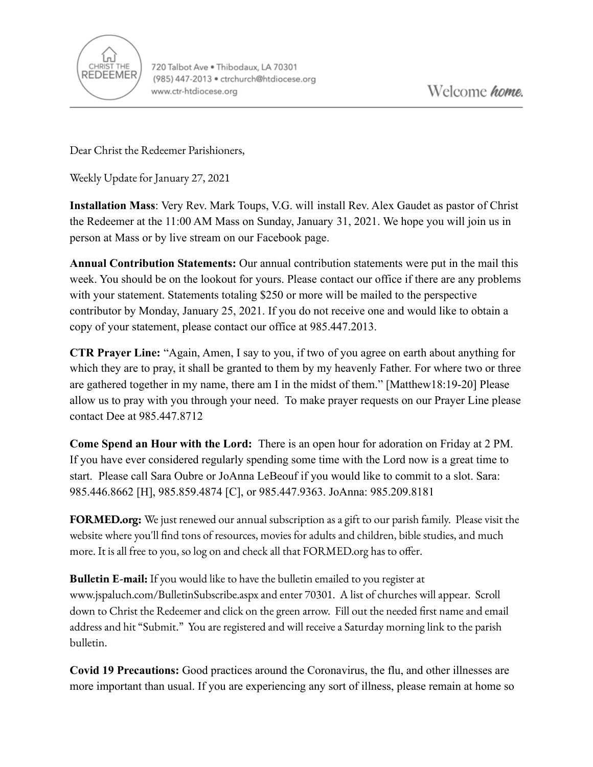

Dear Christ the Redeemer Parishioners,

Weekly Update for January 27, 2021

**Installation Mass**: Very Rev. Mark Toups, V.G. will install Rev. Alex Gaudet as pastor of Christ the Redeemer at the 11:00 AM Mass on Sunday, January 31, 2021. We hope you will join us in person at Mass or by live stream on our Facebook page.

**Annual Contribution Statements:** Our annual contribution statements were put in the mail this week. You should be on the lookout for yours. Please contact our office if there are any problems with your statement. Statements totaling \$250 or more will be mailed to the perspective contributor by Monday, January 25, 2021. If you do not receive one and would like to obtain a copy of your statement, please contact our office at 985.447.2013.

**CTR Prayer Line:** "Again, Amen, I say to you, if two of you agree on earth about anything for which they are to pray, it shall be granted to them by my heavenly Father. For where two or three are gathered together in my name, there am I in the midst of them." [Matthew18:19-20] Please allow us to pray with you through your need. To make prayer requests on our Prayer Line please contact Dee at 985.447.8712

**Come Spend an Hour with the Lord:** There is an open hour for adoration on Friday at 2 PM. If you have ever considered regularly spending some time with the Lord now is a great time to start. Please call Sara Oubre or JoAnna LeBeouf if you would like to commit to a slot. Sara: 985.446.8662 [H], 985.859.4874 [C], or 985.447.9363. JoAnna: 985.209.8181

**FORMED.org:** We just renewed our annual subscription as a gift to our parish family. Please visit the website where you'll find tons of resources, movies for adults and children, bible studies, and much more. It is all free to you, so log on and check all that FORMED.org has to offer.

**Bulletin E-mail:** If you would like to have the bulletin emailed to you register at [www.jspaluch.com/BulletinSubscribe.aspx](http://www.jspaluch.com/BulletinSubscribe.aspx) and enter 70301. A list of churches will appear. Scroll down to Christ the Redeemer and click on the green arrow. Fill out the needed first name and email address and hit "Submit." You are registered and will receive a Saturday morning link to the parish bulletin.

**Covid 19 Precautions:** Good practices around the Coronavirus, the flu, and other illnesses are more important than usual. If you are experiencing any sort of illness, please remain at home so